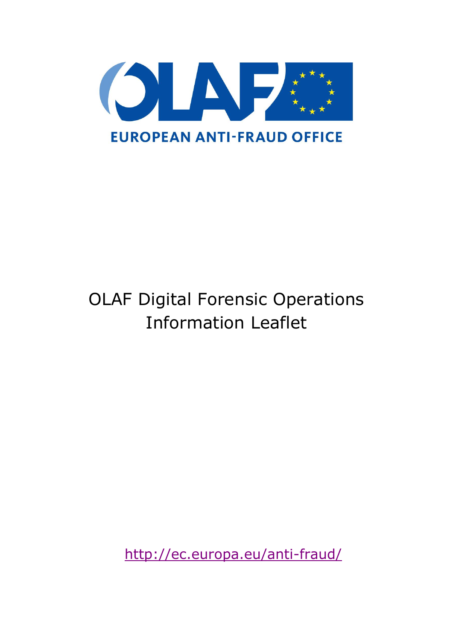

# OLAF Digital Forensic Operations Information Leaflet

<http://ec.europa.eu/anti-fraud/>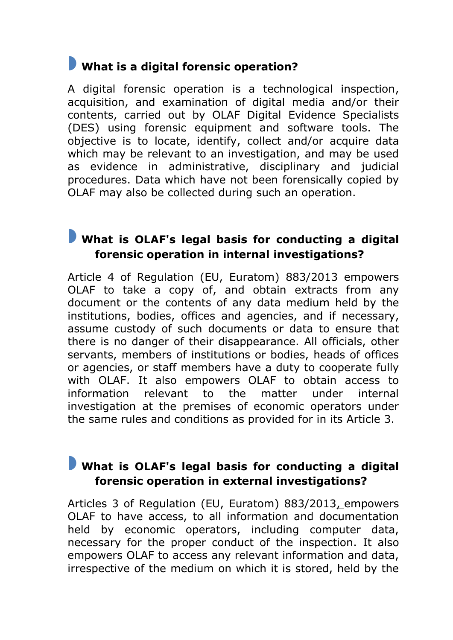# **What is a digital forensic operation?**

A digital forensic operation is a technological inspection, acquisition, and examination of digital media and/or their contents, carried out by OLAF Digital Evidence Specialists (DES) using forensic equipment and software tools. The objective is to locate, identify, collect and/or acquire data which may be relevant to an investigation, and may be used as evidence in administrative, disciplinary and judicial procedures. Data which have not been forensically copied by OLAF may also be collected during such an operation.

## **What is OLAF's legal basis for conducting a digital forensic operation in internal investigations?**

Article 4 of Regulation (EU, Euratom) 883/2013 empowers OLAF to take a copy of, and obtain extracts from any document or the contents of any data medium held by the institutions, bodies, offices and agencies, and if necessary, assume custody of such documents or data to ensure that there is no danger of their disappearance. All officials, other servants, members of institutions or bodies, heads of offices or agencies, or staff members have a duty to cooperate fully with OLAF. It also empowers OLAF to obtain access to information relevant to the matter under internal investigation at the premises of economic operators under the same rules and conditions as provided for in its Article 3.

#### **What is OLAF's legal basis for conducting a digital forensic operation in external investigations?**

Articles 3 of Regulation (EU, Euratom) 883/2013, empowers OLAF to have access, to all information and documentation held by economic operators, including computer data, necessary for the proper conduct of the inspection. It also empowers OLAF to access any relevant information and data, irrespective of the medium on which it is stored, held by the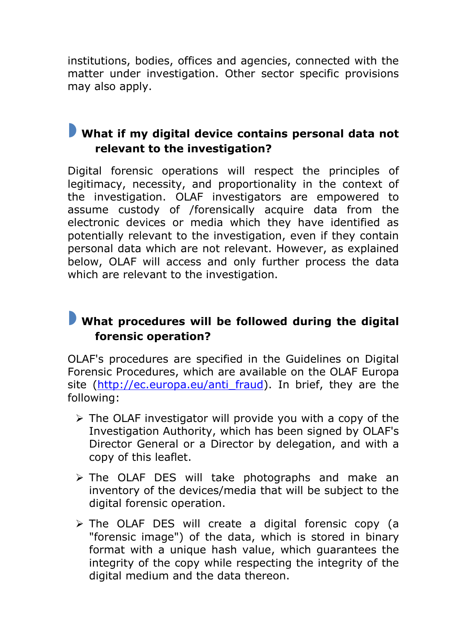institutions, bodies, offices and agencies, connected with the matter under investigation. Other sector specific provisions may also apply.

# **What if my digital device contains personal data not relevant to the investigation?**

Digital forensic operations will respect the principles of legitimacy, necessity, and proportionality in the context of the investigation. OLAF investigators are empowered to assume custody of /forensically acquire data from the electronic devices or media which they have identified as potentially relevant to the investigation, even if they contain personal data which are not relevant. However, as explained below, OLAF will access and only further process the data which are relevant to the investigation.

## **What procedures will be followed during the digital forensic operation?**

OLAF's procedures are specified in the Guidelines on Digital Forensic Procedures, which are available on the OLAF Europa site (http://ec.europa.eu/anti fraud). In brief, they are the following:

- $\triangleright$  The OLAF investigator will provide you with a copy of the Investigation Authority, which has been signed by OLAF's Director General or a Director by delegation, and with a copy of this leaflet.
- $\triangleright$  The OLAF DES will take photographs and make an inventory of the devices/media that will be subject to the digital forensic operation.
- > The OLAF DES will create a digital forensic copy (a "forensic image") of the data, which is stored in binary format with a unique hash value, which guarantees the integrity of the copy while respecting the integrity of the digital medium and the data thereon.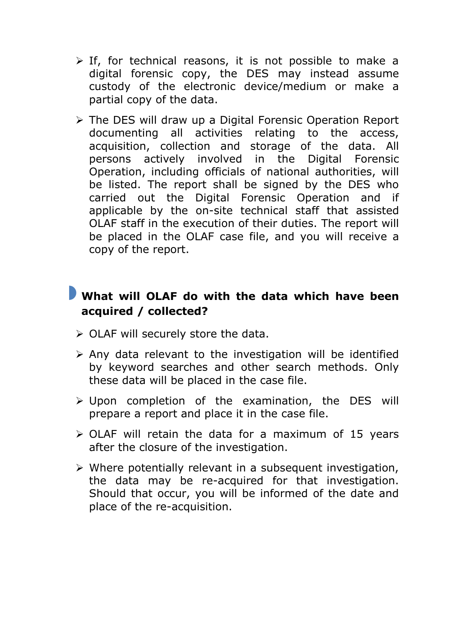- $\triangleright$  If, for technical reasons, it is not possible to make a digital forensic copy, the DES may instead assume custody of the electronic device/medium or make a partial copy of the data.
- $\triangleright$  The DES will draw up a Digital Forensic Operation Report documenting all activities relating to the access, acquisition, collection and storage of the data. All persons actively involved in the Digital Forensic Operation, including officials of national authorities, will be listed. The report shall be signed by the DES who carried out the Digital Forensic Operation and if applicable by the on-site technical staff that assisted OLAF staff in the execution of their duties. The report will be placed in the OLAF case file, and you will receive a copy of the report.

#### **What will OLAF do with the data which have been acquired / collected?**

- $\triangleright$  OLAF will securely store the data.
- $\triangleright$  Any data relevant to the investigation will be identified by keyword searches and other search methods. Only these data will be placed in the case file.
- $\triangleright$  Upon completion of the examination, the DES will prepare a report and place it in the case file.
- $\triangleright$  OLAF will retain the data for a maximum of 15 years after the closure of the investigation.
- $\triangleright$  Where potentially relevant in a subsequent investigation, the data may be re-acquired for that investigation. Should that occur, you will be informed of the date and place of the re-acquisition.